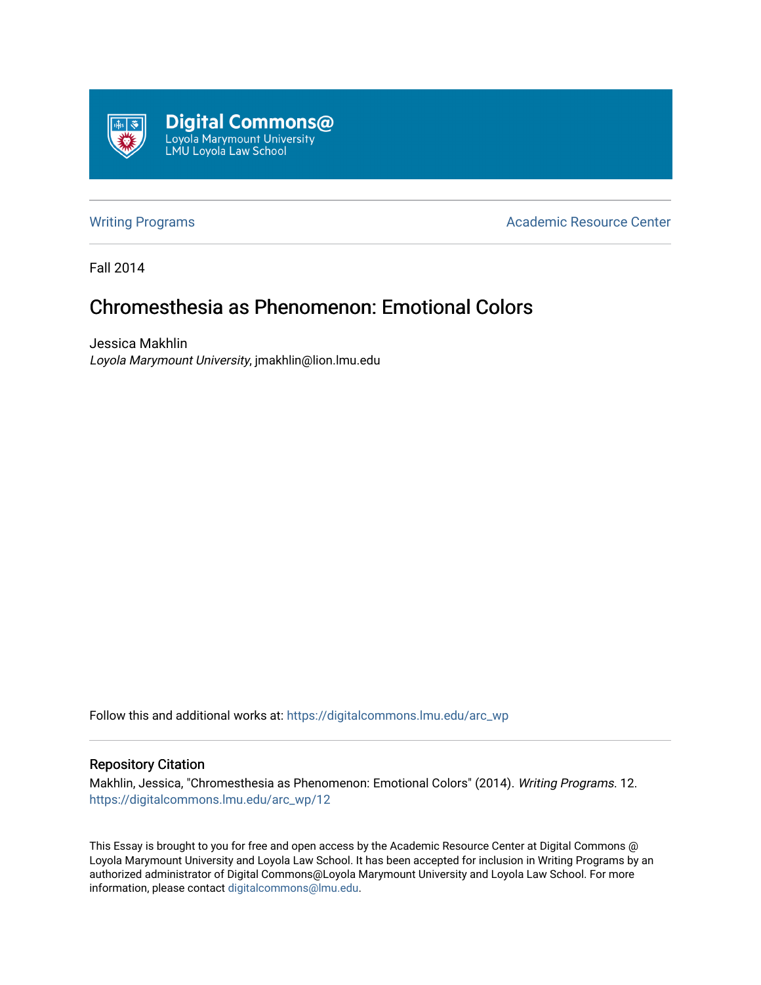

[Writing Programs](https://digitalcommons.lmu.edu/arc_wp) **Academic Resource Center** Academic Resource Center

Fall 2014

# Chromesthesia as Phenomenon: Emotional Colors

Jessica Makhlin Loyola Marymount University, jmakhlin@lion.lmu.edu

Follow this and additional works at: [https://digitalcommons.lmu.edu/arc\\_wp](https://digitalcommons.lmu.edu/arc_wp?utm_source=digitalcommons.lmu.edu%2Farc_wp%2F12&utm_medium=PDF&utm_campaign=PDFCoverPages)

### Repository Citation

Makhlin, Jessica, "Chromesthesia as Phenomenon: Emotional Colors" (2014). Writing Programs. 12. [https://digitalcommons.lmu.edu/arc\\_wp/12](https://digitalcommons.lmu.edu/arc_wp/12?utm_source=digitalcommons.lmu.edu%2Farc_wp%2F12&utm_medium=PDF&utm_campaign=PDFCoverPages) 

This Essay is brought to you for free and open access by the Academic Resource Center at Digital Commons @ Loyola Marymount University and Loyola Law School. It has been accepted for inclusion in Writing Programs by an authorized administrator of Digital Commons@Loyola Marymount University and Loyola Law School. For more information, please contact [digitalcommons@lmu.edu.](mailto:digitalcommons@lmu.edu)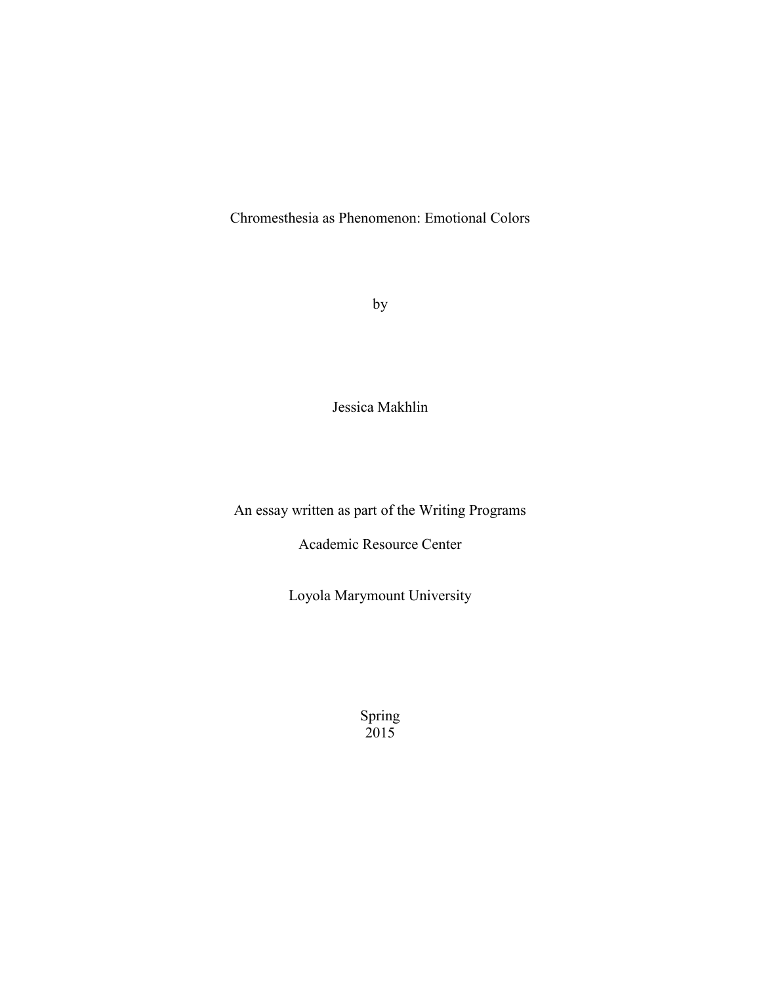Chromesthesia as Phenomenon: Emotional Colors

by

Jessica Makhlin

An essay written as part of the Writing Programs

Academic Resource Center

Loyola Marymount University

Spring 2015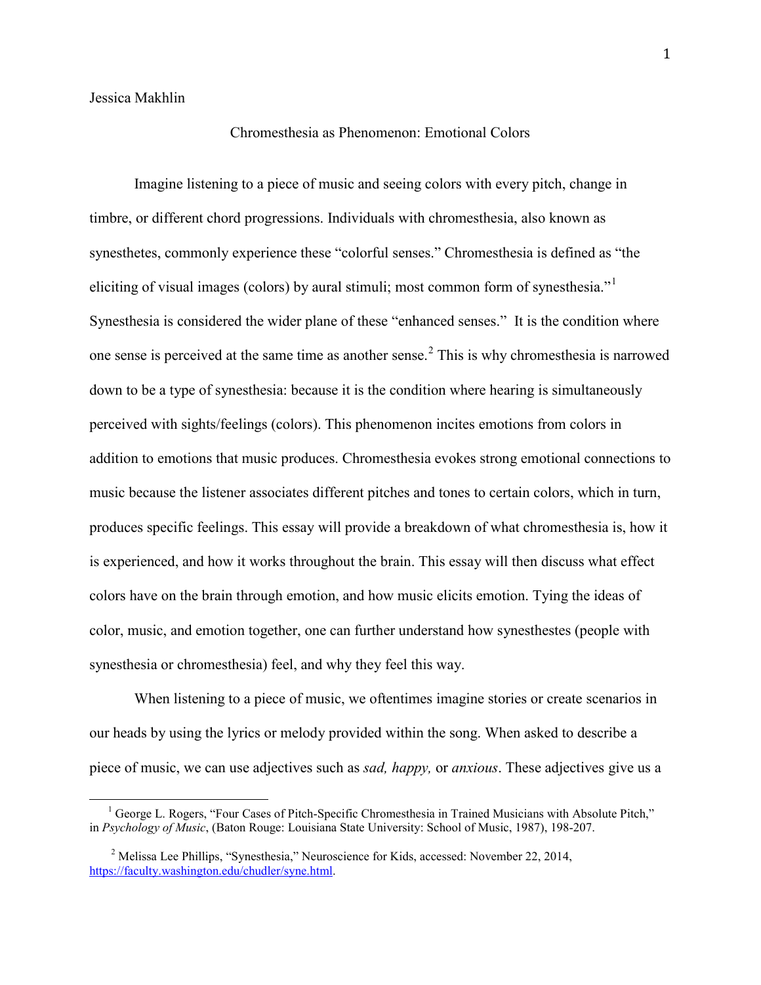Jessica Makhlin

# Chromesthesia as Phenomenon: Emotional Colors

Imagine listening to a piece of music and seeing colors with every pitch, change in timbre, or different chord progressions. Individuals with chromesthesia, also known as synesthetes, commonly experience these "colorful senses." Chromesthesia is defined as "the eliciting of visual images (colors) by aural stimuli; most common form of synesthesia." Synesthesia is considered the wider plane of these "enhanced senses." It is the condition where one sense is perceived at the same time as another sense.<sup>[2](#page-2-1)</sup> This is why chromesthesia is narrowed down to be a type of synesthesia: because it is the condition where hearing is simultaneously perceived with sights/feelings (colors). This phenomenon incites emotions from colors in addition to emotions that music produces. Chromesthesia evokes strong emotional connections to music because the listener associates different pitches and tones to certain colors, which in turn, produces specific feelings. This essay will provide a breakdown of what chromesthesia is, how it is experienced, and how it works throughout the brain. This essay will then discuss what effect colors have on the brain through emotion, and how music elicits emotion. Tying the ideas of color, music, and emotion together, one can further understand how synesthestes (people with synesthesia or chromesthesia) feel, and why they feel this way.

When listening to a piece of music, we oftentimes imagine stories or create scenarios in our heads by using the lyrics or melody provided within the song. When asked to describe a piece of music, we can use adjectives such as *sad, happy,* or *anxious*. These adjectives give us a

<span id="page-2-0"></span><sup>&</sup>lt;sup>1</sup> George L. Rogers, "Four Cases of Pitch-Specific Chromesthesia in Trained Musicians with Absolute Pitch," in *Psychology of Music*, (Baton Rouge: Louisiana State University: School of Music, 1987), 198-207.

<span id="page-2-1"></span><sup>&</sup>lt;sup>2</sup> Melissa Lee Phillips, "Synesthesia," Neuroscience for Kids, accessed: November 22, 2014, [https://faculty.washington.edu/chudler/syne.html.](https://faculty.washington.edu/chudler/syne.html)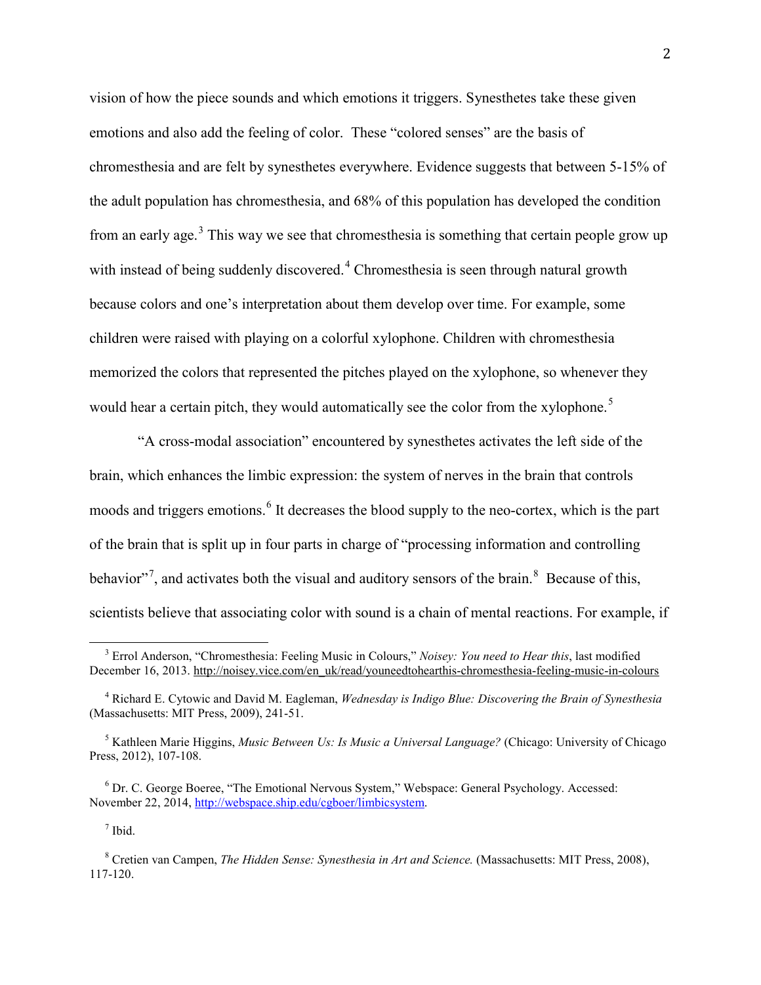vision of how the piece sounds and which emotions it triggers. Synesthetes take these given emotions and also add the feeling of color. These "colored senses" are the basis of chromesthesia and are felt by synesthetes everywhere. Evidence suggests that between 5-15% of the adult population has chromesthesia, and 68% of this population has developed the condition from an early age.<sup>[3](#page-3-0)</sup> This way we see that chromesthesia is something that certain people grow up with instead of being suddenly discovered.<sup>[4](#page-3-1)</sup> Chromesthesia is seen through natural growth because colors and one's interpretation about them develop over time. For example, some children were raised with playing on a colorful xylophone. Children with chromesthesia memorized the colors that represented the pitches played on the xylophone, so whenever they would hear a certain pitch, they would automatically see the color from the xylophone.<sup>[5](#page-3-2)</sup>

"A cross-modal association" encountered by synesthetes activates the left side of the brain, which enhances the limbic expression: the system of nerves in the brain that controls moods and triggers emotions. [6](#page-3-3) It decreases the blood supply to the neo-cortex, which is the part of the brain that is split up in four parts in charge of "processing information and controlling behavior"<sup>[7](#page-3-4)</sup>, and activates both the visual and auditory sensors of the brain.<sup>[8](#page-3-5)</sup> Because of this, scientists believe that associating color with sound is a chain of mental reactions. For example, if

<sup>7</sup> Ibid.

<span id="page-3-0"></span><sup>3</sup> Errol Anderson, "Chromesthesia: Feeling Music in Colours," *Noisey: You need to Hear this*, last modified December 16, 2013[. http://noisey.vice.com/en\\_uk/read/youneedtohearthis-chromesthesia-feeling-music-in-colours](http://noisey.vice.com/en_uk/read/youneedtohearthis-chromesthesia-feeling-music-in-colours)

<span id="page-3-1"></span><sup>4</sup> Richard E. Cytowic and David M. Eagleman, *Wednesday is Indigo Blue: Discovering the Brain of Synesthesia* (Massachusetts: MIT Press, 2009), 241-51.

<span id="page-3-2"></span><sup>5</sup> Kathleen Marie Higgins, *Music Between Us: Is Music a Universal Language?* (Chicago: University of Chicago Press, 2012), 107-108.

<span id="page-3-3"></span><sup>6</sup> Dr. C. George Boeree, "The Emotional Nervous System," Webspace: General Psychology. Accessed: November 22, 2014[, http://webspace.ship.edu/cgboer/limbicsystem.](http://webspace.ship.edu/cgboer/limbicsystem)

<span id="page-3-5"></span><span id="page-3-4"></span><sup>8</sup> Cretien van Campen, *The Hidden Sense: Synesthesia in Art and Science.* (Massachusetts: MIT Press, 2008), 117-120.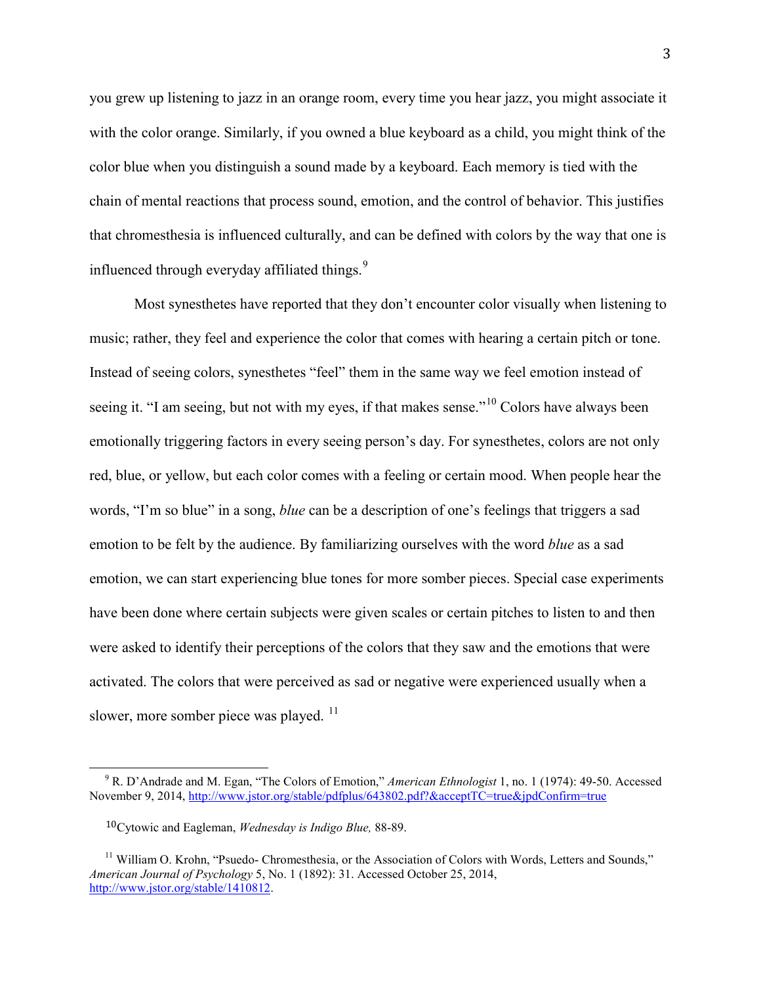you grew up listening to jazz in an orange room, every time you hear jazz, you might associate it with the color orange. Similarly, if you owned a blue keyboard as a child, you might think of the color blue when you distinguish a sound made by a keyboard. Each memory is tied with the chain of mental reactions that process sound, emotion, and the control of behavior. This justifies that chromesthesia is influenced culturally, and can be defined with colors by the way that one is influenced through everyday affiliated things.<sup>[9](#page-4-0)</sup>

Most synesthetes have reported that they don't encounter color visually when listening to music; rather, they feel and experience the color that comes with hearing a certain pitch or tone. Instead of seeing colors, synesthetes "feel" them in the same way we feel emotion instead of seeing it. "I am seeing, but not with my eyes, if that makes sense."<sup>[10](#page-4-1)</sup> Colors have always been emotionally triggering factors in every seeing person's day. For synesthetes, colors are not only red, blue, or yellow, but each color comes with a feeling or certain mood. When people hear the words, "I'm so blue" in a song, *blue* can be a description of one's feelings that triggers a sad emotion to be felt by the audience. By familiarizing ourselves with the word *blue* as a sad emotion, we can start experiencing blue tones for more somber pieces. Special case experiments have been done where certain subjects were given scales or certain pitches to listen to and then were asked to identify their perceptions of the colors that they saw and the emotions that were activated. The colors that were perceived as sad or negative were experienced usually when a slower, more somber piece was played.<sup>[11](#page-4-2)</sup>

<span id="page-4-0"></span><sup>9</sup> R. D'Andrade and M. Egan, "The Colors of Emotion," *American Ethnologist* 1, no. 1 (1974): 49-50. Accessed November 9, 2014, <http://www.jstor.org/stable/pdfplus/643802.pdf?&acceptTC=true&jpdConfirm=true>

 <sup>10</sup>Cytowic and Eagleman, *Wednesday is Indigo Blue,* 88-89.

<span id="page-4-2"></span><span id="page-4-1"></span><sup>&</sup>lt;sup>11</sup> William O. Krohn, "Psuedo- Chromesthesia, or the Association of Colors with Words, Letters and Sounds," *American Journal of Psychology* 5, No. 1 (1892): 31. Accessed October 25, 2014, [http://www.jstor.org/stable/1410812.](http://www.jstor.org/stable/1410812)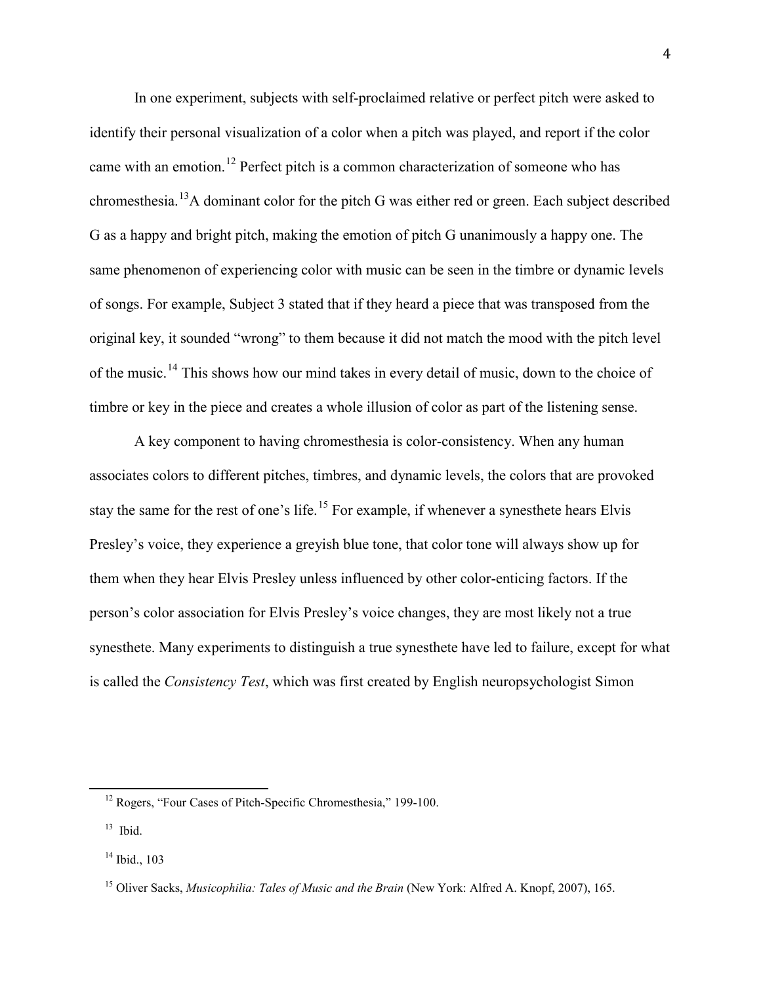In one experiment, subjects with self-proclaimed relative or perfect pitch were asked to identify their personal visualization of a color when a pitch was played, and report if the color came with an emotion.[12](#page-5-0) Perfect pitch is a common characterization of someone who has chromesthesia.<sup>[13](#page-5-1)</sup>A dominant color for the pitch G was either red or green. Each subject described G as a happy and bright pitch, making the emotion of pitch G unanimously a happy one. The same phenomenon of experiencing color with music can be seen in the timbre or dynamic levels of songs. For example, Subject 3 stated that if they heard a piece that was transposed from the original key, it sounded "wrong" to them because it did not match the mood with the pitch level of the music.<sup>[14](#page-5-2)</sup> This shows how our mind takes in every detail of music, down to the choice of timbre or key in the piece and creates a whole illusion of color as part of the listening sense.

A key component to having chromesthesia is color-consistency. When any human associates colors to different pitches, timbres, and dynamic levels, the colors that are provoked stay the same for the rest of one's life.<sup>[15](#page-5-3)</sup> For example, if whenever a synesthete hears Elvis Presley's voice, they experience a greyish blue tone, that color tone will always show up for them when they hear Elvis Presley unless influenced by other color-enticing factors. If the person's color association for Elvis Presley's voice changes, they are most likely not a true synesthete. Many experiments to distinguish a true synesthete have led to failure, except for what is called the *Consistency Test*, which was first created by English neuropsychologist Simon

<span id="page-5-0"></span><sup>&</sup>lt;sup>12</sup> Rogers, "Four Cases of Pitch-Specific Chromesthesia," 199-100.

<span id="page-5-1"></span> $13$  Ibid.

<span id="page-5-2"></span> $14$  Ibid., 103

<span id="page-5-3"></span><sup>15</sup> Oliver Sacks, *Musicophilia: Tales of Music and the Brain* (New York: Alfred A. Knopf, 2007), 165.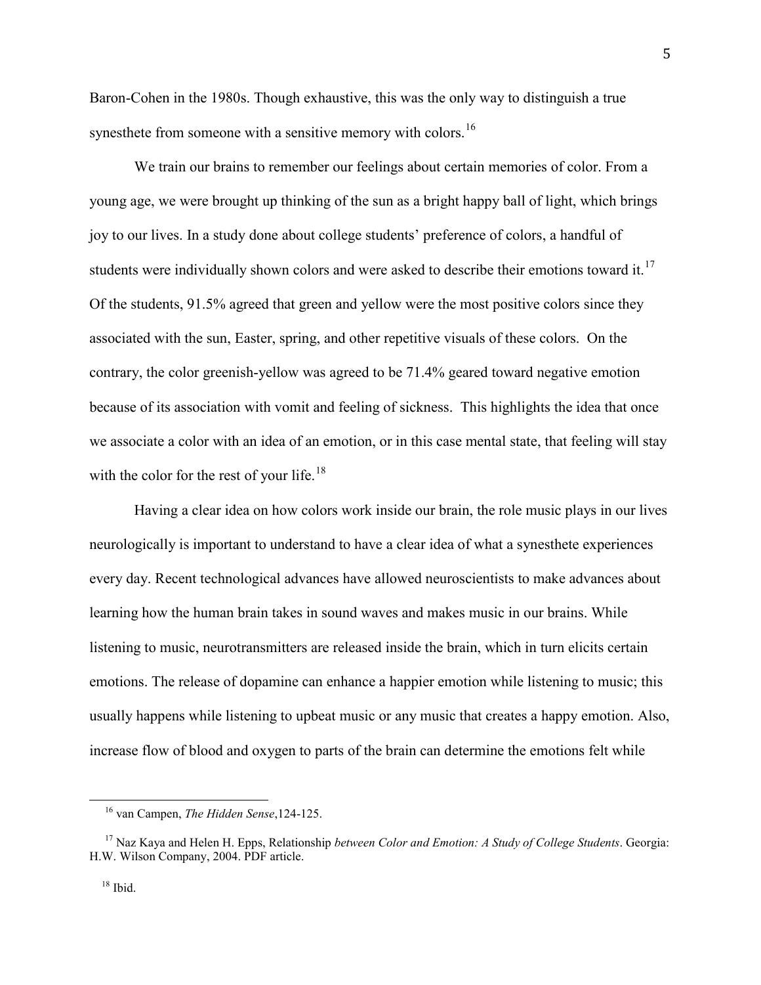Baron-Cohen in the 1980s. Though exhaustive, this was the only way to distinguish a true synesthete from someone with a sensitive memory with colors.<sup>[16](#page-6-0)</sup>

We train our brains to remember our feelings about certain memories of color. From a young age, we were brought up thinking of the sun as a bright happy ball of light, which brings joy to our lives. In a study done about college students' preference of colors, a handful of students were individually shown colors and were asked to describe their emotions toward it.<sup>[17](#page-6-1)</sup> Of the students, 91.5% agreed that green and yellow were the most positive colors since they associated with the sun, Easter, spring, and other repetitive visuals of these colors. On the contrary, the color greenish-yellow was agreed to be 71.4% geared toward negative emotion because of its association with vomit and feeling of sickness. This highlights the idea that once we associate a color with an idea of an emotion, or in this case mental state, that feeling will stay with the color for the rest of your life. $18$ 

Having a clear idea on how colors work inside our brain, the role music plays in our lives neurologically is important to understand to have a clear idea of what a synesthete experiences every day. Recent technological advances have allowed neuroscientists to make advances about learning how the human brain takes in sound waves and makes music in our brains. While listening to music, neurotransmitters are released inside the brain, which in turn elicits certain emotions. The release of dopamine can enhance a happier emotion while listening to music; this usually happens while listening to upbeat music or any music that creates a happy emotion. Also, increase flow of blood and oxygen to parts of the brain can determine the emotions felt while

<sup>16</sup> van Campen, *The Hidden Sense*,124-125.

<span id="page-6-2"></span><span id="page-6-1"></span><span id="page-6-0"></span><sup>17</sup> Naz Kaya and Helen H. Epps, Relationship *between Color and Emotion: A Study of College Students*. Georgia: H.W. Wilson Company, 2004. PDF article.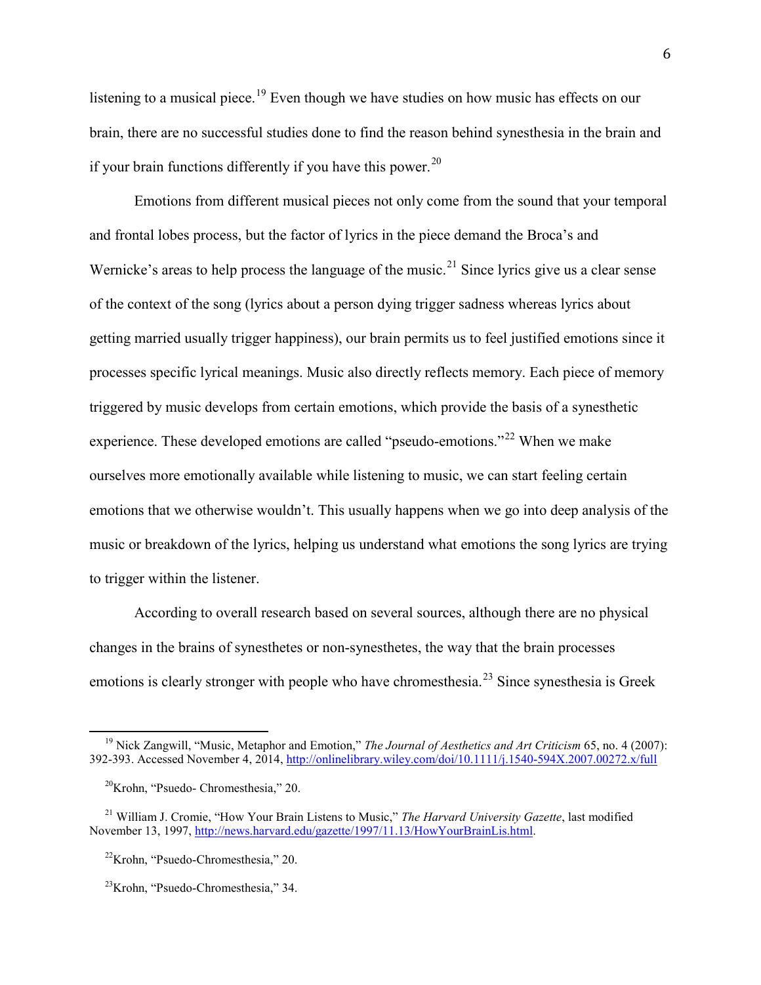listening to a musical piece.<sup>[19](#page-7-0)</sup> Even though we have studies on how music has effects on our brain, there are no successful studies done to find the reason behind synesthesia in the brain and if your brain functions differently if you have this power.<sup>[20](#page-7-1)</sup>

Emotions from different musical pieces not only come from the sound that your temporal and frontal lobes process, but the factor of lyrics in the piece demand the Broca's and Wernicke's areas to help process the language of the music.<sup>[21](#page-7-2)</sup> Since lyrics give us a clear sense of the context of the song (lyrics about a person dying trigger sadness whereas lyrics about getting married usually trigger happiness), our brain permits us to feel justified emotions since it processes specific lyrical meanings. Music also directly reflects memory. Each piece of memory triggered by music develops from certain emotions, which provide the basis of a synesthetic experience. These developed emotions are called "pseudo-emotions."<sup>[22](#page-7-3)</sup> When we make ourselves more emotionally available while listening to music, we can start feeling certain emotions that we otherwise wouldn't. This usually happens when we go into deep analysis of the music or breakdown of the lyrics, helping us understand what emotions the song lyrics are trying to trigger within the listener.

According to overall research based on several sources, although there are no physical changes in the brains of synesthetes or non-synesthetes, the way that the brain processes emotions is clearly stronger with people who have chromesthesia.<sup>[23](#page-7-4)</sup> Since synesthesia is Greek

<span id="page-7-0"></span><sup>19</sup> Nick Zangwill, "Music, Metaphor and Emotion," *The Journal of Aesthetics and Art Criticism* 65, no. 4 (2007): 392-393. Accessed November 4, 2014,<http://onlinelibrary.wiley.com/doi/10.1111/j.1540-594X.2007.00272.x/full>

 $20$ Krohn, "Psuedo- Chromesthesia," 20.

<span id="page-7-3"></span><span id="page-7-2"></span><span id="page-7-1"></span><sup>21</sup> William J. Cromie, "How Your Brain Listens to Music," *The Harvard University Gazette*, last modified November 13, 1997, [http://news.harvard.edu/gazette/1997/11.13/HowYourBrainLis.html.](http://news.harvard.edu/gazette/1997/11.13/HowYourBrainLis.html)

22Krohn, "Psuedo-Chromesthesia," 20.

<span id="page-7-4"></span> $23$ Krohn, "Psuedo-Chromesthesia," 34.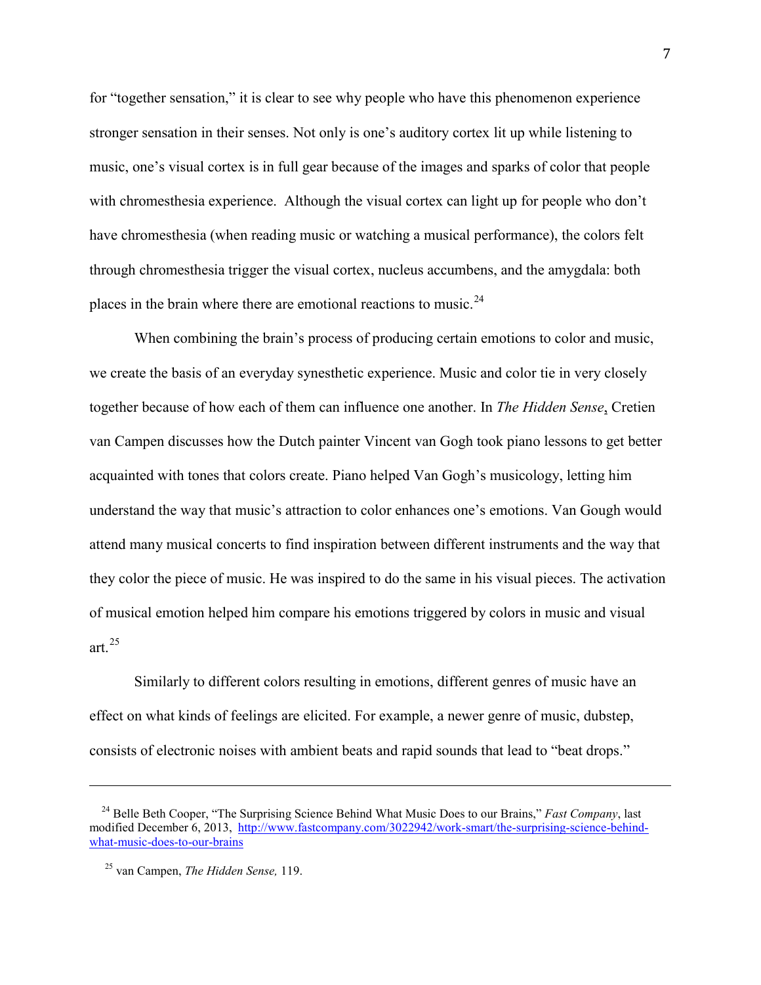for "together sensation," it is clear to see why people who have this phenomenon experience stronger sensation in their senses. Not only is one's auditory cortex lit up while listening to music, one's visual cortex is in full gear because of the images and sparks of color that people with chromesthesia experience. Although the visual cortex can light up for people who don't have chromesthesia (when reading music or watching a musical performance), the colors felt through chromesthesia trigger the visual cortex, nucleus accumbens, and the amygdala: both places in the brain where there are emotional reactions to music.<sup>[24](#page-8-0)</sup>

When combining the brain's process of producing certain emotions to color and music, we create the basis of an everyday synesthetic experience. Music and color tie in very closely together because of how each of them can influence one another. In *The Hidden Sense*, Cretien van Campen discusses how the Dutch painter Vincent van Gogh took piano lessons to get better acquainted with tones that colors create. Piano helped Van Gogh's musicology, letting him understand the way that music's attraction to color enhances one's emotions. Van Gough would attend many musical concerts to find inspiration between different instruments and the way that they color the piece of music. He was inspired to do the same in his visual pieces. The activation of musical emotion helped him compare his emotions triggered by colors in music and visual art. $^{25}$  $^{25}$  $^{25}$ 

Similarly to different colors resulting in emotions, different genres of music have an effect on what kinds of feelings are elicited. For example, a newer genre of music, dubstep, consists of electronic noises with ambient beats and rapid sounds that lead to "beat drops."

i<br>I

<span id="page-8-0"></span><sup>&</sup>lt;sup>24</sup> Belle Beth Cooper, "The Surprising Science Behind What Music Does to our Brains," *Fast Company*, last modified December 6, 2013, [http://www.fastcompany.com/3022942/work-smart/the-surprising-science-behind](http://www.fastcompany.com/3022942/work-smart/the-surprising-science-behind-what-music-does-to-our-brains)[what-music-does-to-our-brains](http://www.fastcompany.com/3022942/work-smart/the-surprising-science-behind-what-music-does-to-our-brains)

<span id="page-8-1"></span><sup>25</sup> van Campen, *The Hidden Sense,* 119.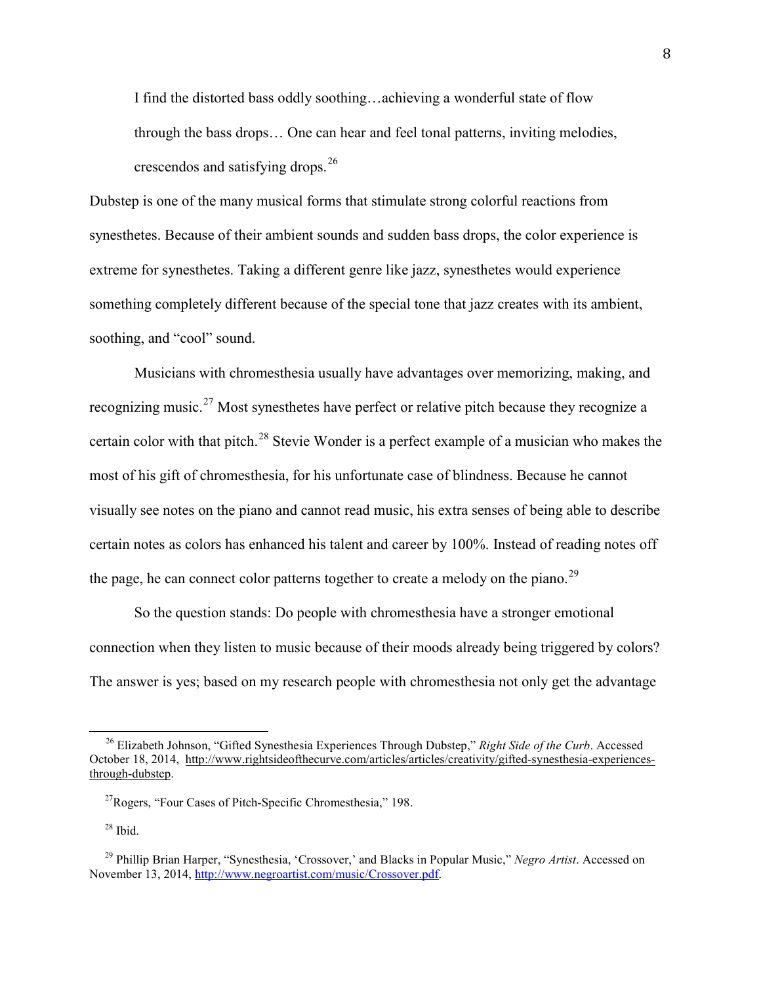I find the distorted bass oddly soothing…achieving a wonderful state of flow through the bass drops… One can hear and feel tonal patterns, inviting melodies, crescendos and satisfying drops.<sup>[26](#page-9-0)</sup>

Dubstep is one of the many musical forms that stimulate strong colorful reactions from synesthetes. Because of their ambient sounds and sudden bass drops, the color experience is extreme for synesthetes. Taking a different genre like jazz, synesthetes would experience something completely different because of the special tone that jazz creates with its ambient, soothing, and "cool" sound.

Musicians with chromesthesia usually have advantages over memorizing, making, and recognizing music.<sup>[27](#page-9-1)</sup> Most synesthetes have perfect or relative pitch because they recognize a certain color with that pitch.<sup>[28](#page-9-2)</sup> Stevie Wonder is a perfect example of a musician who makes the most of his gift of chromesthesia, for his unfortunate case of blindness. Because he cannot visually see notes on the piano and cannot read music, his extra senses of being able to describe certain notes as colors has enhanced his talent and career by 100%. Instead of reading notes off the page, he can connect color patterns together to create a melody on the piano.<sup>[29](#page-9-3)</sup>

So the question stands: Do people with chromesthesia have a stronger emotional connection when they listen to music because of their moods already being triggered by colors? The answer is yes; based on my research people with chromesthesia not only get the advantage

<span id="page-9-0"></span><sup>26</sup> Elizabeth Johnson, "Gifted Synesthesia Experiences Through Dubstep," *Right Side of the Curb*. Accessed October 18, 2014, [http://www.rightsideofthecurve.com/articles/articles/creativity/gifted-synesthesia-experiences](http://www.rightsideofthecurve.com/articles/articles/creativity/gifted-synesthesia-experiences-through-dubstep)[through-dubstep.](http://www.rightsideofthecurve.com/articles/articles/creativity/gifted-synesthesia-experiences-through-dubstep)

<span id="page-9-1"></span> $^{27}$ Rogers, "Four Cases of Pitch-Specific Chromesthesia," 198.

 $28$  Ibid.

<span id="page-9-3"></span><span id="page-9-2"></span><sup>29</sup> Phillip Brian Harper, "Synesthesia, 'Crossover,' and Blacks in Popular Music," *Negro Artist*. Accessed on November 13, 2014[, http://www.negroartist.com/music/Crossover.pdf.](http://www.negroartist.com/music/Crossover.pdf)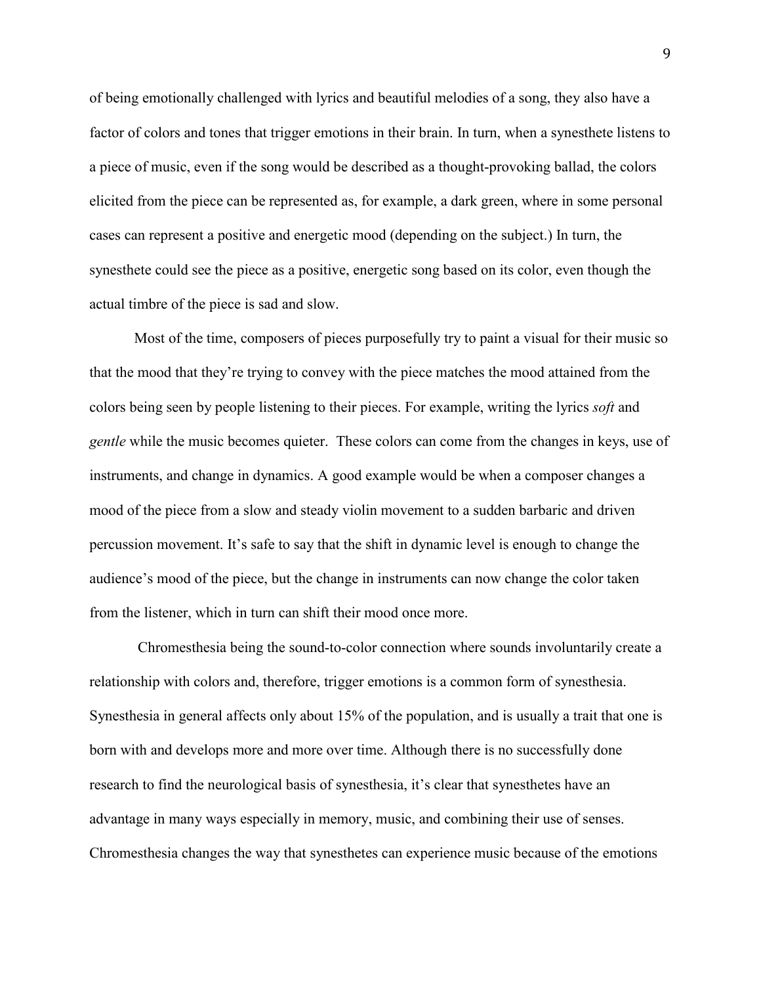of being emotionally challenged with lyrics and beautiful melodies of a song, they also have a factor of colors and tones that trigger emotions in their brain. In turn, when a synesthete listens to a piece of music, even if the song would be described as a thought-provoking ballad, the colors elicited from the piece can be represented as, for example, a dark green, where in some personal cases can represent a positive and energetic mood (depending on the subject.) In turn, the synesthete could see the piece as a positive, energetic song based on its color, even though the actual timbre of the piece is sad and slow.

Most of the time, composers of pieces purposefully try to paint a visual for their music so that the mood that they're trying to convey with the piece matches the mood attained from the colors being seen by people listening to their pieces. For example, writing the lyrics *soft* and *gentle* while the music becomes quieter. These colors can come from the changes in keys, use of instruments, and change in dynamics. A good example would be when a composer changes a mood of the piece from a slow and steady violin movement to a sudden barbaric and driven percussion movement. It's safe to say that the shift in dynamic level is enough to change the audience's mood of the piece, but the change in instruments can now change the color taken from the listener, which in turn can shift their mood once more.

Chromesthesia being the sound-to-color connection where sounds involuntarily create a relationship with colors and, therefore, trigger emotions is a common form of synesthesia. Synesthesia in general affects only about 15% of the population, and is usually a trait that one is born with and develops more and more over time. Although there is no successfully done research to find the neurological basis of synesthesia, it's clear that synesthetes have an advantage in many ways especially in memory, music, and combining their use of senses. Chromesthesia changes the way that synesthetes can experience music because of the emotions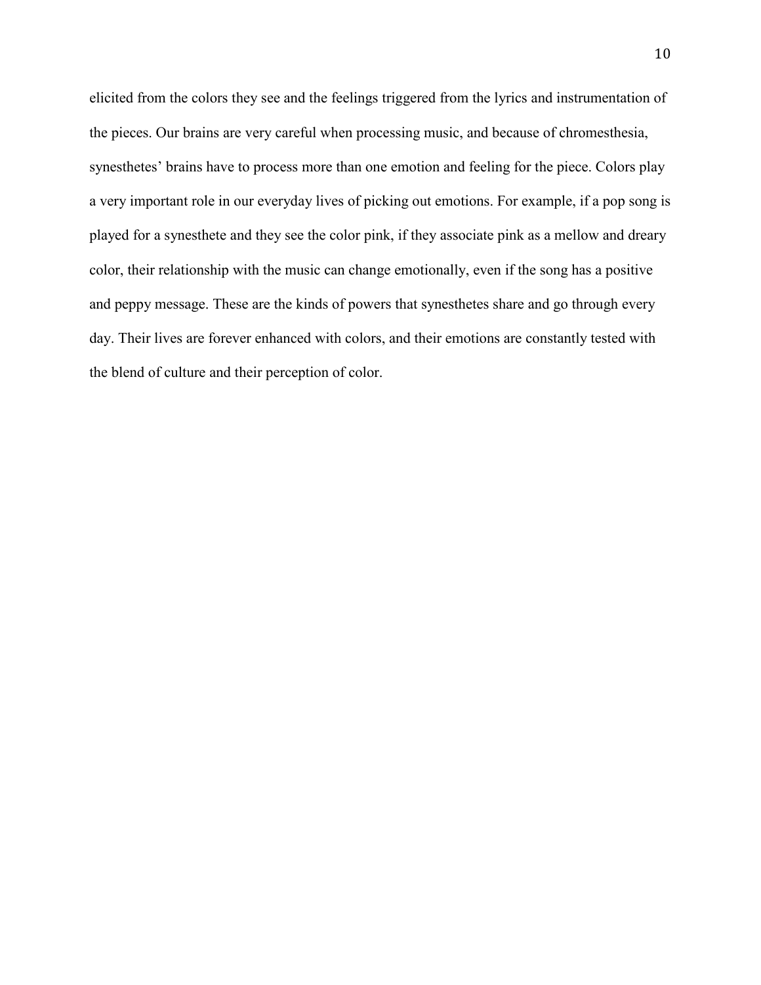elicited from the colors they see and the feelings triggered from the lyrics and instrumentation of the pieces. Our brains are very careful when processing music, and because of chromesthesia, synesthetes' brains have to process more than one emotion and feeling for the piece. Colors play a very important role in our everyday lives of picking out emotions. For example, if a pop song is played for a synesthete and they see the color pink, if they associate pink as a mellow and dreary color, their relationship with the music can change emotionally, even if the song has a positive and peppy message. These are the kinds of powers that synesthetes share and go through every day. Their lives are forever enhanced with colors, and their emotions are constantly tested with the blend of culture and their perception of color.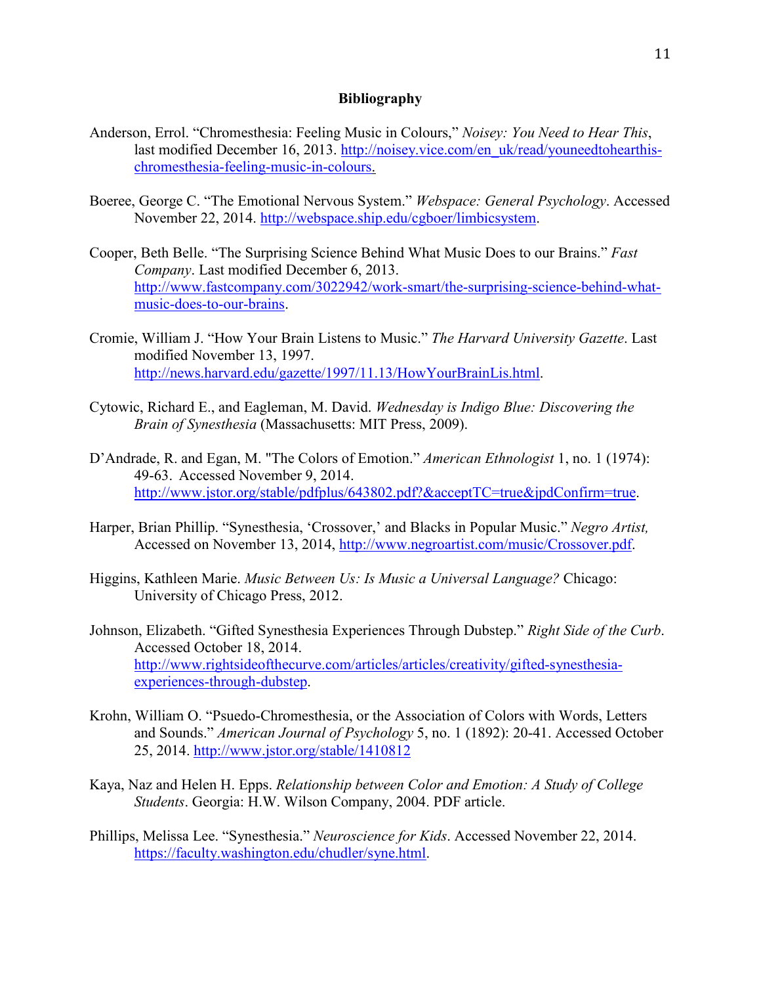# **Bibliography**

- Anderson, Errol. "Chromesthesia: Feeling Music in Colours," *Noisey: You Need to Hear This*, last modified December 16, 2013. [http://noisey.vice.com/en\\_uk/read/youneedtohearthis](http://noisey.vice.com/en_uk/read/youneedtohearthis-chromesthesia-feeling-music-in-colours)[chromesthesia-feeling-music-in-colours.](http://noisey.vice.com/en_uk/read/youneedtohearthis-chromesthesia-feeling-music-in-colours)
- Boeree, George C. "The Emotional Nervous System." *Webspace: General Psychology*. Accessed November 22, 2014. [http://webspace.ship.edu/cgboer/limbicsystem.](http://webspace.ship.edu/cgboer/limbicsystem)
- Cooper, Beth Belle. "The Surprising Science Behind What Music Does to our Brains." *Fast Company*. Last modified December 6, 2013. [http://www.fastcompany.com/3022942/work-smart/the-surprising-science-behind-what](http://www.fastcompany.com/3022942/work-smart/the-surprising-science-behind-what-music-does-to-our-brains)[music-does-to-our-brains.](http://www.fastcompany.com/3022942/work-smart/the-surprising-science-behind-what-music-does-to-our-brains)
- Cromie, William J. "How Your Brain Listens to Music." *The Harvard University Gazette*. Last modified November 13, 1997. [http://news.harvard.edu/gazette/1997/11.13/HowYourBrainLis.html.](http://news.harvard.edu/gazette/1997/11.13/HowYourBrainLis.html)
- Cytowic, Richard E., and Eagleman, M. David. *Wednesday is Indigo Blue: Discovering the Brain of Synesthesia* (Massachusetts: MIT Press, 2009).
- D'Andrade, R. and Egan, M. "The Colors of Emotion." *American Ethnologist* 1, no. 1 (1974): 49-63. Accessed November 9, 2014. [http://www.jstor.org/stable/pdfplus/643802.pdf?&acceptTC=true&jpdConfirm=true.](http://www.jstor.org/stable/pdfplus/643802.pdf?&acceptTC=true&jpdConfirm=true)
- Harper, Brian Phillip. "Synesthesia, 'Crossover,' and Blacks in Popular Music." *Negro Artist,*  Accessed on November 13, 2014, [http://www.negroartist.com/music/Crossover.pdf.](http://www.negroartist.com/music/Crossover.pdf)
- Higgins, Kathleen Marie. *Music Between Us: Is Music a Universal Language?* Chicago: University of Chicago Press, 2012.
- Johnson, Elizabeth. "Gifted Synesthesia Experiences Through Dubstep." *Right Side of the Curb*. Accessed October 18, 2014. [http://www.rightsideofthecurve.com/articles/articles/creativity/gifted-synesthesia](http://www.rightsideofthecurve.com/articles/articles/creativity/gifted-synesthesia-experiences-through-dubstep)[experiences-through-dubstep.](http://www.rightsideofthecurve.com/articles/articles/creativity/gifted-synesthesia-experiences-through-dubstep)
- Krohn, William O. "Psuedo-Chromesthesia, or the Association of Colors with Words, Letters and Sounds." *American Journal of Psychology* 5, no. 1 (1892): 20-41. Accessed October 25, 2014.<http://www.jstor.org/stable/1410812>
- Kaya, Naz and Helen H. Epps. *Relationship between Color and Emotion: A Study of College Students*. Georgia: H.W. Wilson Company, 2004. PDF article.
- Phillips, Melissa Lee. "Synesthesia." *Neuroscience for Kids*. Accessed November 22, 2014. [https://faculty.washington.edu/chudler/syne.html.](https://faculty.washington.edu/chudler/syne.html)